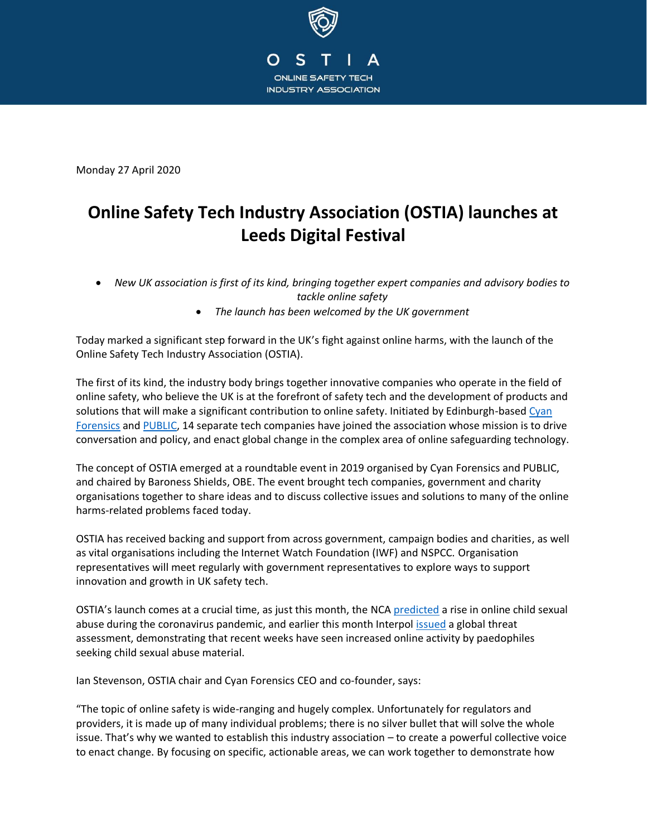

Monday 27 April 2020

# **Online Safety Tech Industry Association (OSTIA) launches at Leeds Digital Festival**

- *New UK association is first of its kind, bringing together expert companies and advisory bodies to tackle online safety*
	- *The launch has been welcomed by the UK government*

Today marked a significant step forward in the UK's fight against online harms, with the launch of the Online Safety Tech Industry Association (OSTIA).

The first of its kind, the industry body brings together innovative companies who operate in the field of online safety, who believe the UK is at the forefront of safety tech and the development of products and solutions that will make a significant contribution to online safety. Initiated by Edinburgh-based Cyan [Forensics](https://www.cyanforensics.com/) and [PUBLIC,](https://www.public.io/) 14 separate tech companies have joined the association whose mission is to drive conversation and policy, and enact global change in the complex area of online safeguarding technology.

The concept of OSTIA emerged at a roundtable event in 2019 organised by Cyan Forensics and PUBLIC, and chaired by Baroness Shields, OBE. The event brought tech companies, government and charity organisations together to share ideas and to discuss collective issues and solutions to many of the online harms-related problems faced today.

OSTIA has received backing and support from across government, campaign bodies and charities, as well as vital organisations including the Internet Watch Foundation (IWF) and NSPCC. Organisation representatives will meet regularly with government representatives to explore ways to support innovation and growth in UK safety tech.

OSTIA's launch comes at a crucial time, as just this month, the [NCA predicted](https://www.theguardian.com/society/2020/apr/03/nca-predicts-rise-in-online-child-sexual-abuse-during-coronavirus-pandemic) a rise in online child sexual abuse during the coronavirus pandemic, and earlier this month Interpol [issued](https://www.interpol.int/en/News-and-Events/News/2020/Preventing-crime-and-protecting-police-INTERPOL-s-COVID-19-global-threat-assessment) a global threat assessment, demonstrating that recent weeks have seen increased online activity by paedophiles seeking child sexual abuse material.

Ian Stevenson, OSTIA chair and Cyan Forensics CEO and co-founder, says:

"The topic of online safety is wide-ranging and hugely complex. Unfortunately for regulators and providers, it is made up of many individual problems; there is no silver bullet that will solve the whole issue. That's why we wanted to establish this industry association – to create a powerful collective voice to enact change. By focusing on specific, actionable areas, we can work together to demonstrate how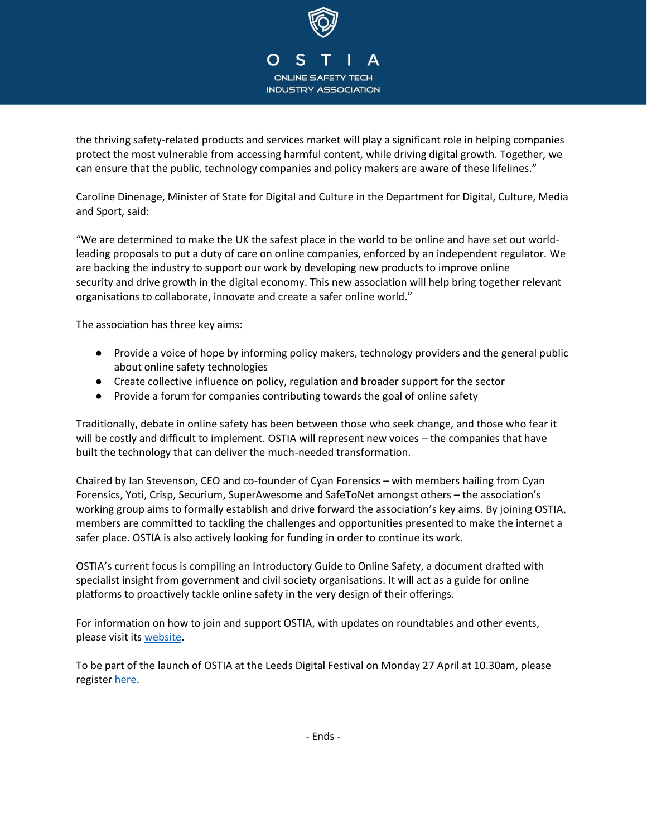

the thriving safety-related products and services market will play a significant role in helping companies protect the most vulnerable from accessing harmful content, while driving digital growth. Together, we can ensure that the public, technology companies and policy makers are aware of these lifelines."

Caroline Dinenage, Minister of State for Digital and Culture in the Department for Digital, Culture, Media and Sport, said:

"We are determined to make the UK the safest place in the world to be online and have set out worldleading proposals to put a duty of care on online companies, enforced by an independent regulator. We are backing the industry to support our work by developing new products to improve online security and drive growth in the digital economy. This new association will help bring together relevant organisations to collaborate, innovate and create a safer online world."

The association has three key aims:

- Provide a voice of hope by informing policy makers, technology providers and the general public about online safety technologies
- Create collective influence on policy, regulation and broader support for the sector
- Provide a forum for companies contributing towards the goal of online safety

Traditionally, debate in online safety has been between those who seek change, and those who fear it will be costly and difficult to implement. OSTIA will represent new voices – the companies that have built the technology that can deliver the much-needed transformation.

Chaired by Ian Stevenson, CEO and co-founder of Cyan Forensics – with members hailing from Cyan Forensics, Yoti, Crisp, Securium, SuperAwesome and SafeToNet amongst others – the association's working group aims to formally establish and drive forward the association's key aims. By joining OSTIA, members are committed to tackling the challenges and opportunities presented to make the internet a safer place. OSTIA is also actively looking for funding in order to continue its work.

OSTIA's current focus is compiling an Introductory Guide to Online Safety, a document drafted with specialist insight from government and civil society organisations. It will act as a guide for online platforms to proactively tackle online safety in the very design of their offerings.

For information on how to join and support OSTIA, with updates on roundtables and other events, please visit its [website.](http://ostia.org.uk/)

To be part of the launch of OSTIA at the Leeds Digital Festival on Monday 27 April at 10.30am, please register [here.](https://register.gotowebinar.com/register/6110039298549866766)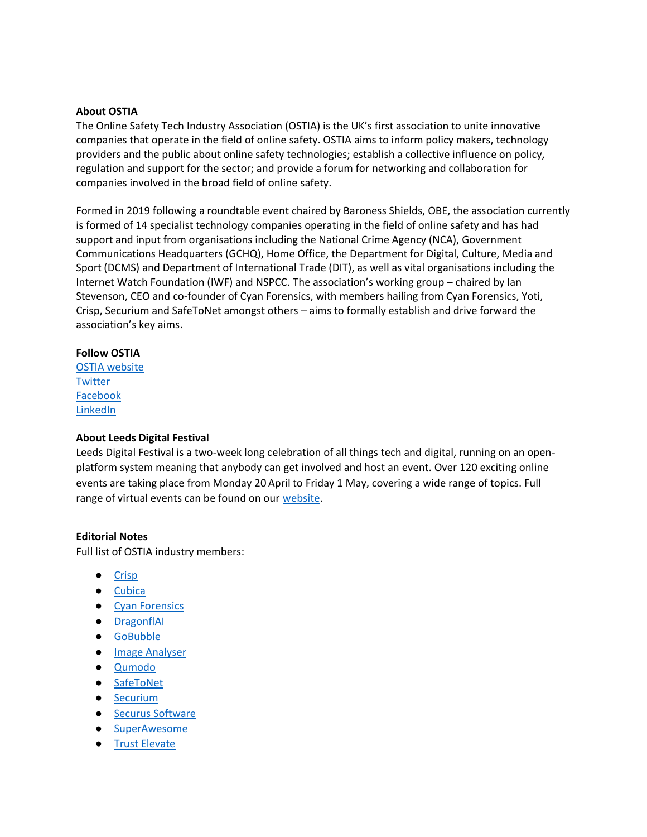### **About OSTIA**

The Online Safety Tech Industry Association (OSTIA) is the UK's first association to unite innovative companies that operate in the field of online safety. OSTIA aims to inform policy makers, technology providers and the public about online safety technologies; establish a collective influence on policy, regulation and support for the sector; and provide a forum for networking and collaboration for companies involved in the broad field of online safety.

Formed in 2019 following a roundtable event chaired by Baroness Shields, OBE, the association currently is formed of 14 specialist technology companies operating in the field of online safety and has had support and input from organisations including the National Crime Agency (NCA), Government Communications Headquarters (GCHQ), Home Office, the Department for Digital, Culture, Media and Sport (DCMS) and Department of International Trade (DIT), as well as vital organisations including the Internet Watch Foundation (IWF) and NSPCC. The association's working group – chaired by Ian Stevenson, CEO and co-founder of Cyan Forensics, with members hailing from Cyan Forensics, Yoti, Crisp, Securium and SafeToNet amongst others – aims to formally establish and drive forward the association's key aims.

#### **Follow OSTIA**

[OSTIA website](http://ostia.org.uk/) **[Twitter](https://twitter.com/ostia_uk)** [Facebook](https://www.facebook.com/OnlineSafetyTechIndustryAssociation) [LinkedIn](https://www.linkedin.com/company/ostiauk/)

## **About Leeds Digital Festival**

Leeds Digital Festival is a two-week long celebration of all things tech and digital, running on an openplatform system meaning that anybody can get involved and host an event. Over 120 exciting online events are taking place from Monday 20 April to Friday 1 May, covering a wide range of topics. Full range of virtual events can be found on our [website.](https://leedsdigitalfestival.org/events/)

## **Editorial Notes**

Full list of OSTIA industry members:

- <u>[Crisp](https://www.crispthinking.com/)</u>
- [Cubica](https://www.cubicatechnology.co.uk/)
- [Cyan Forensics](https://www.cyanforensics.com/)
- [DragonflAI](https://www.dragonflai.co/)
- [GoBubble](https://gobubble.school/en)
- [Image Analyser](https://www.image-analyzer.com/)
- [Qumodo](https://qumo.do/)
- [SafeToNet](https://safetonet.com/)
- [Securium](https://www.securium.co.uk/)
- [Securus Software](https://www.securus-software.com/)
- [SuperAwesome](https://www.superawesome.com/)
- [Trust Elevate](https://www.trustelevate.com/)